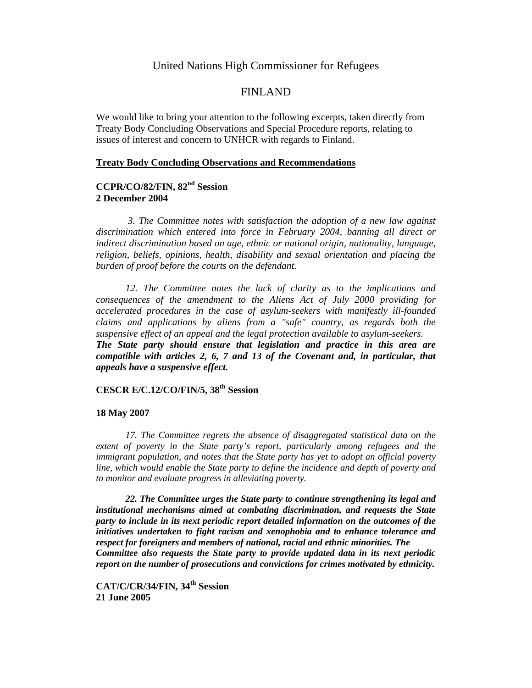# United Nations High Commissioner for Refugees

# FINLAND

We would like to bring your attention to the following excerpts, taken directly from Treaty Body Concluding Observations and Special Procedure reports, relating to issues of interest and concern to UNHCR with regards to Finland.

### **Treaty Body Concluding Observations and Recommendations**

# **CCPR/CO/82/FIN, 82nd Session 2 December 2004**

*3. The Committee notes with satisfaction the adoption of a new law against discrimination which entered into force in February 2004, banning all direct or indirect discrimination based on age, ethnic or national origin, nationality, language, religion, beliefs, opinions, health, disability and sexual orientation and placing the burden of proof before the courts on the defendant.* 

*12. The Committee notes the lack of clarity as to the implications and consequences of the amendment to the Aliens Act of July 2000 providing for accelerated procedures in the case of asylum-seekers with manifestly ill-founded claims and applications by aliens from a "safe" country, as regards both the suspensive effect of an appeal and the legal protection available to asylum-seekers. The State party should ensure that legislation and practice in this area are compatible with articles 2, 6, 7 and 13 of the Covenant and, in particular, that appeals have a suspensive effect.* 

# **CESCR E/C.12/CO/FIN/5, 38th Session**

#### **18 May 2007**

*17. The Committee regrets the absence of disaggregated statistical data on the extent of poverty in the State party's report, particularly among refugees and the immigrant population, and notes that the State party has yet to adopt an official poverty line, which would enable the State party to define the incidence and depth of poverty and to monitor and evaluate progress in alleviating poverty.* 

*22. The Committee urges the State party to continue strengthening its legal and institutional mechanisms aimed at combating discrimination, and requests the State party to include in its next periodic report detailed information on the outcomes of the initiatives undertaken to fight racism and xenophobia and to enhance tolerance and respect for foreigners and members of national, racial and ethnic minorities. The Committee also requests the State party to provide updated data in its next periodic report on the number of prosecutions and convictions for crimes motivated by ethnicity.* 

**CAT/C/CR/34/FIN, 34th Session 21 June 2005**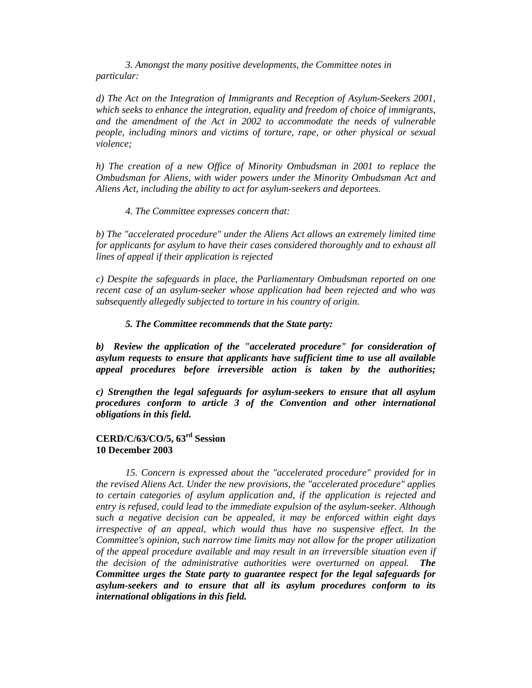*3. Amongst the many positive developments, the Committee notes in particular:* 

*d) The Act on the Integration of Immigrants and Reception of Asylum-Seekers 2001, which seeks to enhance the integration, equality and freedom of choice of immigrants, and the amendment of the Act in 2002 to accommodate the needs of vulnerable people, including minors and victims of torture, rape, or other physical or sexual violence;* 

*h) The creation of a new Office of Minority Ombudsman in 2001 to replace the Ombudsman for Aliens, with wider powers under the Minority Ombudsman Act and Aliens Act, including the ability to act for asylum-seekers and deportees.* 

*4. The Committee expresses concern that:* 

*b) The "accelerated procedure" under the Aliens Act allows an extremely limited time for applicants for asylum to have their cases considered thoroughly and to exhaust all lines of appeal if their application is rejected* 

*c) Despite the safeguards in place, the Parliamentary Ombudsman reported on one recent case of an asylum-seeker whose application had been rejected and who was subsequently allegedly subjected to torture in his country of origin.* 

### *5. The Committee recommends that the State party:*

b) Review the application of the "accelerated procedure" for consideration of *asylum requests to ensure that applicants have sufficient time to use all available appeal procedures before irreversible action is taken by the authorities;* 

*c) Strengthen the legal safeguards for asylum-seekers to ensure that all asylum procedures conform to article 3 of the Convention and other international obligations in this field.* 

### **CERD/C/63/CO/5, 63rd Session 10 December 2003**

*15. Concern is expressed about the "accelerated procedure" provided for in the revised Aliens Act. Under the new provisions, the "accelerated procedure" applies to certain categories of asylum application and, if the application is rejected and entry is refused, could lead to the immediate expulsion of the asylum-seeker. Although such a negative decision can be appealed, it may be enforced within eight days irrespective of an appeal, which would thus have no suspensive effect. In the Committee's opinion, such narrow time limits may not allow for the proper utilization of the appeal procedure available and may result in an irreversible situation even if the decision of the administrative authorities were overturned on appeal. The Committee urges the State party to guarantee respect for the legal safeguards for asylum-seekers and to ensure that all its asylum procedures conform to its international obligations in this field.*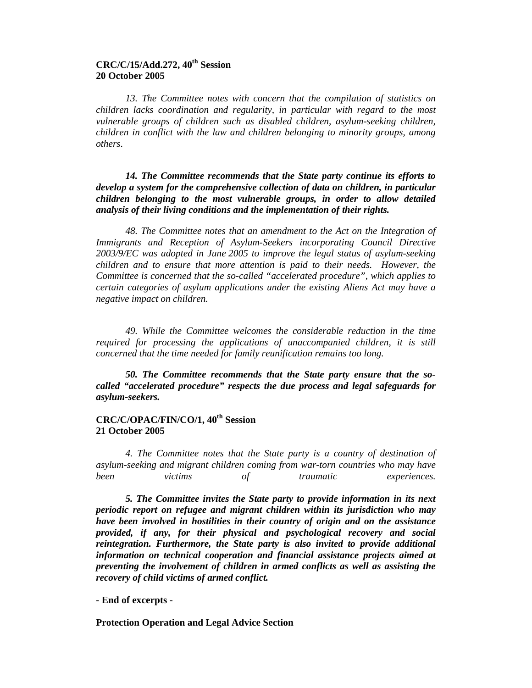# **CRC/C/15/Add.272, 40th Session 20 October 2005**

*13. The Committee notes with concern that the compilation of statistics on children lacks coordination and regularity, in particular with regard to the most vulnerable groups of children such as disabled children, asylum-seeking children, children in conflict with the law and children belonging to minority groups, among others*.

*14. The Committee recommends that the State party continue its efforts to develop a system for the comprehensive collection of data on children, in particular children belonging to the most vulnerable groups, in order to allow detailed analysis of their living conditions and the implementation of their rights.* 

*48. The Committee notes that an amendment to the Act on the Integration of Immigrants and Reception of Asylum-Seekers incorporating Council Directive 2003/9/EC was adopted in June 2005 to improve the legal status of asylum-seeking children and to ensure that more attention is paid to their needs. However, the Committee is concerned that the so-called "accelerated procedure", which applies to certain categories of asylum applications under the existing Aliens Act may have a negative impact on children.* 

*49. While the Committee welcomes the considerable reduction in the time required for processing the applications of unaccompanied children, it is still concerned that the time needed for family reunification remains too long.* 

*50. The Committee recommends that the State party ensure that the socalled "accelerated procedure" respects the due process and legal safeguards for asylum-seekers.* 

# **CRC/C/OPAC/FIN/CO/1, 40th Session 21 October 2005**

*4. The Committee notes that the State party is a country of destination of asylum-seeking and migrant children coming from war-torn countries who may have been victims of traumatic experiences.* 

*5. The Committee invites the State party to provide information in its next periodic report on refugee and migrant children within its jurisdiction who may have been involved in hostilities in their country of origin and on the assistance provided, if any, for their physical and psychological recovery and social reintegration. Furthermore, the State party is also invited to provide additional information on technical cooperation and financial assistance projects aimed at preventing the involvement of children in armed conflicts as well as assisting the recovery of child victims of armed conflict.* 

**- End of excerpts -** 

**Protection Operation and Legal Advice Section**